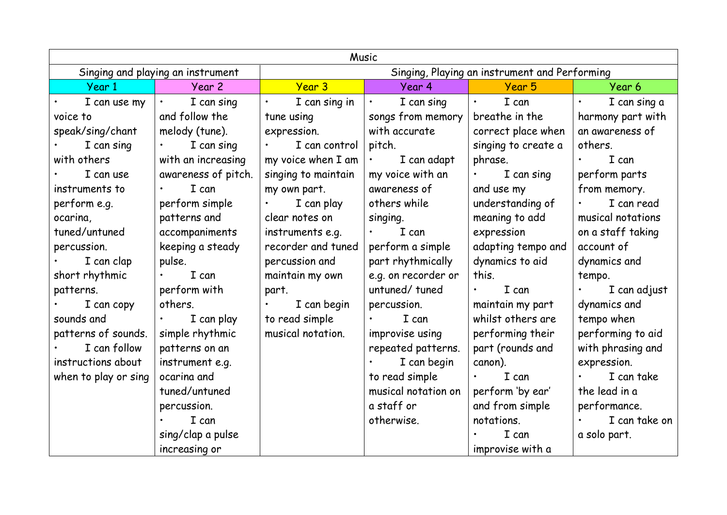| Music                             |                         |                                               |                                                                                                                                                            |                           |                           |  |  |  |
|-----------------------------------|-------------------------|-----------------------------------------------|------------------------------------------------------------------------------------------------------------------------------------------------------------|---------------------------|---------------------------|--|--|--|
| Singing and playing an instrument |                         | Singing, Playing an instrument and Performing |                                                                                                                                                            |                           |                           |  |  |  |
| Year 1                            | Year 2                  | Year 3                                        | Year 4                                                                                                                                                     | Year 5                    | Year 6                    |  |  |  |
| I can use my                      | I can sing<br>$\bullet$ | I can sing in                                 | I can sing<br>$\bullet$                                                                                                                                    | I can<br>$\bullet$        | I can sing a<br>$\bullet$ |  |  |  |
| voice to                          | and follow the          | tune using                                    | songs from memory                                                                                                                                          | breathe in the            | harmony part with         |  |  |  |
| speak/sing/chant                  | melody (tune).          | expression.                                   | with accurate                                                                                                                                              | correct place when        | an awareness of           |  |  |  |
| I can sing                        | I can sing              | I can control                                 | pitch.                                                                                                                                                     | singing to create a       | others.                   |  |  |  |
| with others                       | with an increasing      | my voice when I am                            | I can adapt<br>$\bullet$ .<br><br><br><br><br><br><br><br><br><br><br><br><br><br><br><br><br><br><br><br><br><br><br><br><br><br><br><br><br><br><br><br> | phrase.                   | I can                     |  |  |  |
| I can use                         | awareness of pitch.     | singing to maintain                           | my voice with an                                                                                                                                           | I can sing<br>$\bullet$ . | perform parts             |  |  |  |
| instruments to                    | I can                   | my own part.                                  | awareness of                                                                                                                                               | and use my                | from memory.              |  |  |  |
| perform e.g.                      | perform simple          | I can play                                    | others while                                                                                                                                               | understanding of          | I can read                |  |  |  |
| ocarina,                          | patterns and            | clear notes on                                | singing.                                                                                                                                                   | meaning to add            | musical notations         |  |  |  |
| tuned/untuned                     | accompaniments          | instruments e.g.                              | I can                                                                                                                                                      | expression                | on a staff taking         |  |  |  |
| percussion.                       | keeping a steady        | recorder and tuned                            | perform a simple                                                                                                                                           | adapting tempo and        | account of                |  |  |  |
| I can clap                        | pulse.                  | percussion and                                | part rhythmically                                                                                                                                          | dynamics to aid           | dynamics and              |  |  |  |
| short rhythmic                    | I can                   | maintain my own                               | e.g. on recorder or                                                                                                                                        | this.                     | tempo.                    |  |  |  |
| patterns.                         | perform with            | part.                                         | untuned/tuned                                                                                                                                              | I can<br>$\bullet$        | I can adjust              |  |  |  |
| I can copy                        | others.                 | I can begin                                   | percussion.                                                                                                                                                | maintain my part          | dynamics and              |  |  |  |
| sounds and                        | I can play              | to read simple                                | I can                                                                                                                                                      | whilst others are         | tempo when                |  |  |  |
| patterns of sounds.               | simple rhythmic         | musical notation.                             | improvise using                                                                                                                                            | performing their          | performing to aid         |  |  |  |
| I can follow                      | patterns on an          |                                               | repeated patterns.                                                                                                                                         | part (rounds and          | with phrasing and         |  |  |  |
| instructions about                | instrument e.g.         |                                               | I can begin                                                                                                                                                | canon).                   | expression.               |  |  |  |
| when to play or sing              | ocarina and             |                                               | to read simple                                                                                                                                             | I can<br>$\bullet$ .      | I can take                |  |  |  |
|                                   | tuned/untuned           |                                               | musical notation on                                                                                                                                        | perform 'by ear'          | the lead in a             |  |  |  |
|                                   | percussion.             |                                               | a staff or                                                                                                                                                 | and from simple           | performance.              |  |  |  |
|                                   | I can                   |                                               | otherwise.                                                                                                                                                 | notations.                | I can take on             |  |  |  |
|                                   | sing/clap a pulse       |                                               |                                                                                                                                                            | I can                     | a solo part.              |  |  |  |
|                                   | increasing or           |                                               |                                                                                                                                                            | improvise with a          |                           |  |  |  |